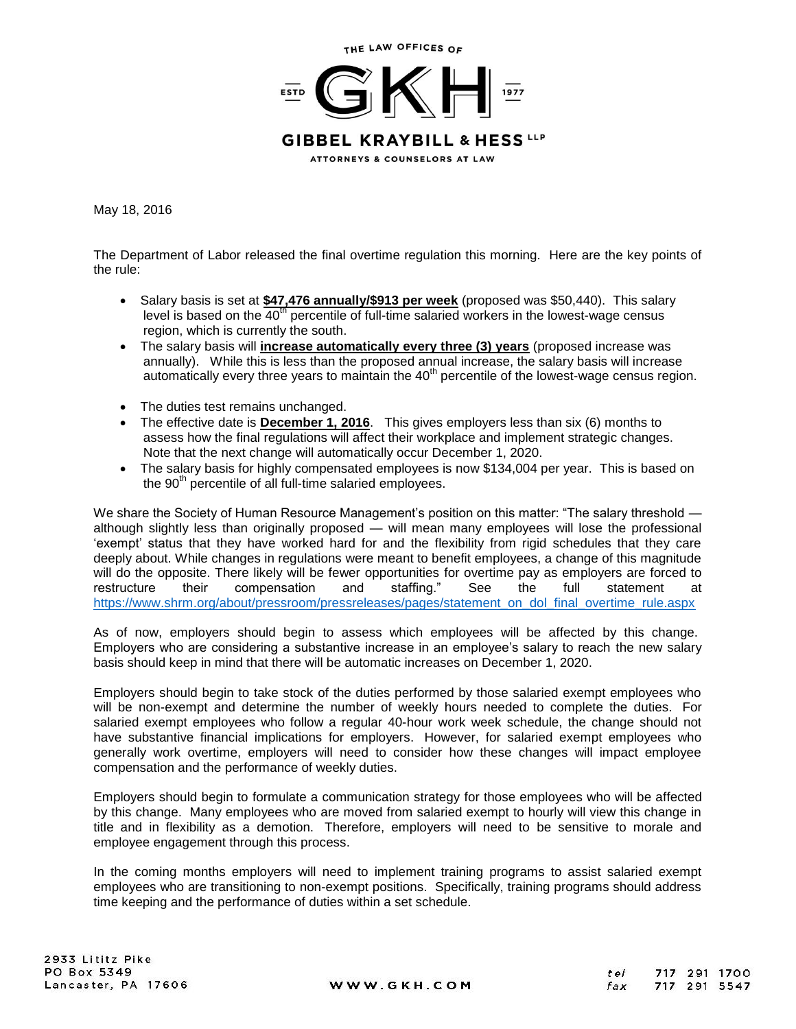

May 18, 2016

The Department of Labor released the final overtime regulation this morning. Here are the key points of the rule:

- Salary basis is set at **\$47,476 annually/\$913 per week** (proposed was \$50,440). This salary level is based on the  $40<sup>th</sup>$  percentile of full-time salaried workers in the lowest-wage census region, which is currently the south.
- The salary basis will **increase automatically every three (3) years** (proposed increase was annually). While this is less than the proposed annual increase, the salary basis will increase automatically every three years to maintain the  $40<sup>th</sup>$  percentile of the lowest-wage census region.
- The duties test remains unchanged.
- The effective date is **December 1, 2016**. This gives employers less than six (6) months to assess how the final regulations will affect their workplace and implement strategic changes. Note that the next change will automatically occur December 1, 2020.
- The salary basis for highly compensated employees is now \$134,004 per year. This is based on the  $90<sup>th</sup>$  percentile of all full-time salaried employees.

We share the Society of Human Resource Management's position on this matter: "The salary threshold although slightly less than originally proposed — will mean many employees will lose the professional 'exempt' status that they have worked hard for and the flexibility from rigid schedules that they care deeply about. While changes in regulations were meant to benefit employees, a change of this magnitude will do the opposite. There likely will be fewer opportunities for overtime pay as employers are forced to restructure their compensation and staffing." See the full statement at [https://www.shrm.org/about/pressroom/pressreleases/pages/statement\\_on\\_dol\\_final\\_overtime\\_rule.aspx](https://www.shrm.org/about/pressroom/pressreleases/pages/statement_on_dol_final_overtime_rule.aspx)

As of now, employers should begin to assess which employees will be affected by this change. Employers who are considering a substantive increase in an employee's salary to reach the new salary basis should keep in mind that there will be automatic increases on December 1, 2020.

Employers should begin to take stock of the duties performed by those salaried exempt employees who will be non-exempt and determine the number of weekly hours needed to complete the duties. For salaried exempt employees who follow a regular 40-hour work week schedule, the change should not have substantive financial implications for employers. However, for salaried exempt employees who generally work overtime, employers will need to consider how these changes will impact employee compensation and the performance of weekly duties.

Employers should begin to formulate a communication strategy for those employees who will be affected by this change. Many employees who are moved from salaried exempt to hourly will view this change in title and in flexibility as a demotion. Therefore, employers will need to be sensitive to morale and employee engagement through this process.

In the coming months employers will need to implement training programs to assist salaried exempt employees who are transitioning to non-exempt positions. Specifically, training programs should address time keeping and the performance of duties within a set schedule.